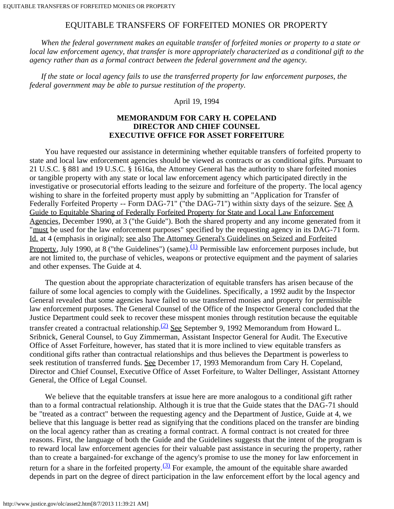## EQUITABLE TRANSFERS OF FORFEITED MONIES OR PROPERTY

 *When the federal government makes an equitable transfer of forfeited monies or property to a state or local law enforcement agency, that transfer is more appropriately characterized as a conditional gift to the agency rather than as a formal contract between the federal government and the agency.*

 *If the state or local agency fails to use the transferred property for law enforcement purposes, the federal government may be able to pursue restitution of the property.*

April 19, 1994

## **MEMORANDUM FOR CARY H. COPELAND DIRECTOR AND CHIEF COUNSEL EXECUTIVE OFFICE FOR ASSET FORFEITURE**

 You have requested our assistance in determining whether equitable transfers of forfeited property to state and local law enforcement agencies should be viewed as contracts or as conditional gifts. Pursuant to 21 U.S.C. § 881 and 19 U.S.C. § 1616a, the Attorney General has the authority to share forfeited monies or tangible property with any state or local law enforcement agency which participated directly in the investigative or prosecutorial efforts leading to the seizure and forfeiture of the property. The local agency wishing to share in the forfeited property must apply by submitting an "Application for Transfer of Federally Forfeited Property -- Form DAG-71" ("the DAG-71") within sixty days of the seizure. See A Guide to Equitable Sharing of Federally Forfeited Property for State and Local Law Enforcement Agencies, December 1990, at 3 ("the Guide"). Both the shared property and any income generated from it "must be used for the law enforcement purposes" specified by the requesting agency in its DAG-71 form. Id. at 4 (emphasis in original); see also The Attorney General's Guidelines on Seized and Forfeited Property, July 1990, at 8 ("the Guidelines") (same).<sup>(1)</sup> Permissible law enforcement purposes include, but are not limited to, the purchase of vehicles, weapons or protective equipment and the payment of salaries and other expenses. The Guide at 4.

 The question about the appropriate characterization of equitable transfers has arisen because of the failure of some local agencies to comply with the Guidelines. Specifically, a 1992 audit by the Inspector General revealed that some agencies have failed to use transferred monies and property for permissible law enforcement purposes. The General Counsel of the Office of the Inspector General concluded that the Justice Department could seek to recover these misspent monies through restitution because the equitable transfer created a contractual relationship.<sup>[\(2\)](#page-2-0)</sup> See September 9, 1992 Memorandum from Howard L. Sribnick, General Counsel, to Guy Zimmerman, Assistant Inspector General for Audit. The Executive Office of Asset Forfeiture, however, has stated that it is more inclined to view equitable transfers as conditional gifts rather than contractual relationships and thus believes the Department is powerless to seek restitution of transferred funds. See December 17, 1993 Memorandum from Cary H. Copeland, Director and Chief Counsel, Executive Office of Asset Forfeiture, to Walter Dellinger, Assistant Attorney General, the Office of Legal Counsel.

We believe that the equitable transfers at issue here are more analogous to a conditional gift rather than to a formal contractual relationship. Although it is true that the Guide states that the DAG-71 should be "treated as a contract" between the requesting agency and the Department of Justice, Guide at 4, we believe that this language is better read as signifying that the conditions placed on the transfer are binding on the local agency rather than as creating a formal contract. A formal contract is not created for three reasons. First, the language of both the Guide and the Guidelines suggests that the intent of the program is to reward local law enforcement agencies for their valuable past assistance in securing the property, rather than to create a bargained-for exchange of the agency's promise to use the money for law enforcement in return for a share in the forfeited property. $(3)$  For example, the amount of the equitable share awarded depends in part on the degree of direct participation in the law enforcement effort by the local agency and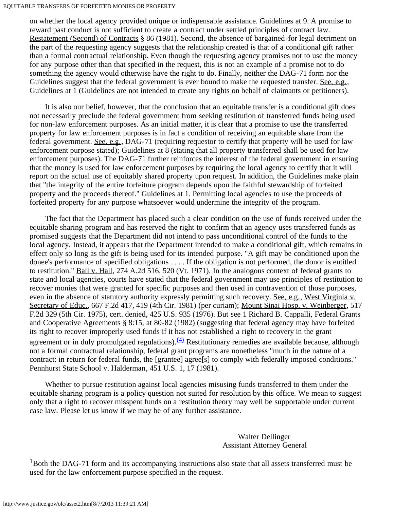## EQUITABLE TRANSFERS OF FORFEITED MONIES OR PROPERTY

on whether the local agency provided unique or indispensable assistance. Guidelines at 9. A promise to reward past conduct is not sufficient to create a contract under settled principles of contract law. Restatement (Second) of Contracts § 86 (1981). Second, the absence of bargained-for legal detriment on the part of the requesting agency suggests that the relationship created is that of a conditional gift rather than a formal contractual relationship. Even though the requesting agency promises not to use the money for any purpose other than that specified in the request, this is not an example of a promise not to do something the agency would otherwise have the right to do. Finally, neither the DAG-71 form nor the Guidelines suggest that the federal government is ever bound to make the requested transfer. See, e.g., Guidelines at 1 (Guidelines are not intended to create any rights on behalf of claimants or petitioners).

 It is also our belief, however, that the conclusion that an equitable transfer is a conditional gift does not necessarily preclude the federal government from seeking restitution of transferred funds being used for non-law enforcement purposes. As an initial matter, it is clear that a promise to use the transferred property for law enforcement purposes is in fact a condition of receiving an equitable share from the federal government. See, e.g., DAG-71 (requiring requestor to certify that property will be used for law enforcement purpose stated); Guidelines at 8 (stating that all property transferred shall be used for law enforcement purposes). The DAG-71 further reinforces the interest of the federal government in ensuring that the money is used for law enforcement purposes by requiring the local agency to certify that it will report on the actual use of equitably shared property upon request. In addition, the Guidelines make plain that "the integrity of the entire forfeiture program depends upon the faithful stewardship of forfeited property and the proceeds thereof." Guidelines at 1. Permitting local agencies to use the proceeds of forfeited property for any purpose whatsoever would undermine the integrity of the program.

 The fact that the Department has placed such a clear condition on the use of funds received under the equitable sharing program and has reserved the right to confirm that an agency uses transferred funds as promised suggests that the Department did not intend to pass unconditional control of the funds to the local agency. Instead, it appears that the Department intended to make a conditional gift, which remains in effect only so long as the gift is being used for its intended purpose. "A gift may be conditioned upon the donee's performance of specified obligations . . . . If the obligation is not performed, the donor is entitled to restitution." Ball v. Hall, 274 A.2d 516, 520 (Vt. 1971). In the analogous context of federal grants to state and local agencies, courts have stated that the federal government may use principles of restitution to recover monies that were granted for specific purposes and then used in contravention of those purposes, even in the absence of statutory authority expressly permitting such recovery. See, e.g., West Virginia v. Secretary of Educ., 667 F.2d 417, 419 (4th Cir. 1981) (per curiam); Mount Sinai Hosp. v. Weinberger, 517 F.2d 329 (5th Cir. 1975), cert. denied, 425 U.S. 935 (1976). But see 1 Richard B. Cappalli, Federal Grants and Cooperative Agreements § 8:15, at 80-82 (1982) (suggesting that federal agency may have forfeited its right to recover improperly used funds if it has not established a right to recovery in the grant agreement or in duly promulgated regulations).  $(4)$  Restitutionary remedies are available because, although not a formal contractual relationship, federal grant programs are nonetheless "much in the nature of a contract: in return for federal funds, the [grantee] agree[s] to comply with federally imposed conditions." Pennhurst State School v. Halderman, 451 U.S. 1, 17 (1981).

 Whether to pursue restitution against local agencies misusing funds transferred to them under the equitable sharing program is a policy question not suited for resolution by this office. We mean to suggest only that a right to recover misspent funds on a restitution theory may well be supportable under current case law. Please let us know if we may be of any further assistance.

## Walter Dellinger Assistant Attorney General

<span id="page-1-0"></span><sup>1</sup>Both the DAG-71 form and its accompanying instructions also state that all assets transferred must be used for the law enforcement purpose specified in the request.